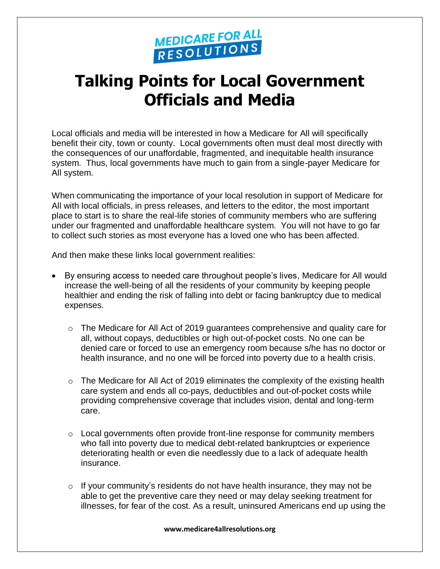

## **Talking Points for Local Government Officials and Media**

Local officials and media will be interested in how a Medicare for All will specifically benefit their city, town or county. Local governments often must deal most directly with the consequences of our unaffordable, fragmented, and inequitable health insurance system. Thus, local governments have much to gain from a single-payer Medicare for All system.

When communicating the importance of your local resolution in support of Medicare for All with local officials, in press releases, and letters to the editor, the most important place to start is to share the real-life stories of community members who are suffering under our fragmented and unaffordable healthcare system. You will not have to go far to collect such stories as most everyone has a loved one who has been affected.

And then make these links local government realities:

- By ensuring access to needed care throughout people's lives, Medicare for All would increase the well-being of all the residents of your community by keeping people healthier and ending the risk of falling into debt or facing bankruptcy due to medical expenses.
	- $\circ$  The Medicare for All Act of 2019 guarantees comprehensive and quality care for all, without copays, deductibles or high out-of-pocket costs. No one can be denied care or forced to use an emergency room because s/he has no doctor or health insurance, and no one will be forced into poverty due to a health crisis.
	- $\circ$  The Medicare for All Act of 2019 eliminates the complexity of the existing health care system and ends all co-pays, deductibles and out-of-pocket costs while providing comprehensive coverage that includes vision, dental and long-term care.
	- $\circ$  Local governments often provide front-line response for community members who fall into poverty due to medical debt-related bankruptcies or experience deteriorating health or even die needlessly due to a lack of adequate health insurance.
	- o If your community's residents do not have health insurance, they may not be able to get the preventive care they need or may delay seeking treatment for illnesses, for fear of the cost. As a result, uninsured Americans end up using the

**www.medicare4allresolutions.org**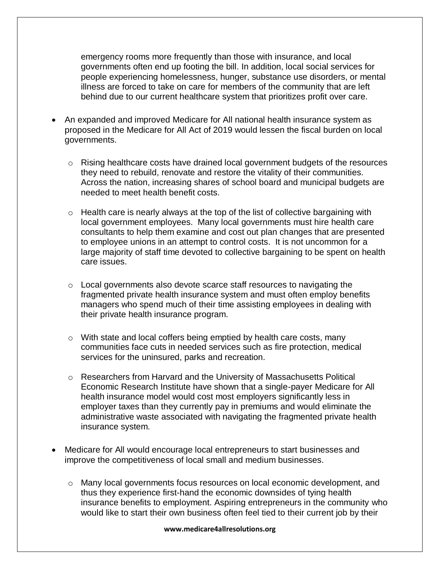emergency rooms more frequently than those with insurance, and local governments often end up footing the bill. In addition, local social services for people experiencing homelessness, hunger, substance use disorders, or mental illness are forced to take on care for members of the community that are left behind due to our current healthcare system that prioritizes profit over care.

- An expanded and improved Medicare for All national health insurance system as proposed in the Medicare for All Act of 2019 would lessen the fiscal burden on local governments.
	- o Rising healthcare costs have drained local government budgets of the resources they need to rebuild, renovate and restore the vitality of their communities. Across the nation, increasing shares of school board and municipal budgets are needed to meet health benefit costs.
	- $\circ$  Health care is nearly always at the top of the list of collective bargaining with local government employees. Many local governments must hire health care consultants to help them examine and cost out plan changes that are presented to employee unions in an attempt to control costs. It is not uncommon for a large majority of staff time devoted to collective bargaining to be spent on health care issues.
	- o Local governments also devote scarce staff resources to navigating the fragmented private health insurance system and must often employ benefits managers who spend much of their time assisting employees in dealing with their private health insurance program.
	- $\circ$  With state and local coffers being emptied by health care costs, many communities face cuts in needed services such as fire protection, medical services for the uninsured, parks and recreation.
	- o Researchers from Harvard and the University of Massachusetts Political Economic Research Institute have shown that a single-payer Medicare for All health insurance model would cost most employers significantly less in employer taxes than they currently pay in premiums and would eliminate the administrative waste associated with navigating the fragmented private health insurance system.
- Medicare for All would encourage local entrepreneurs to start businesses and improve the competitiveness of local small and medium businesses.
	- o Many local governments focus resources on local economic development, and thus they experience first-hand the economic downsides of tying health insurance benefits to employment. Aspiring entrepreneurs in the community who would like to start their own business often feel tied to their current job by their

## **www.medicare4allresolutions.org**